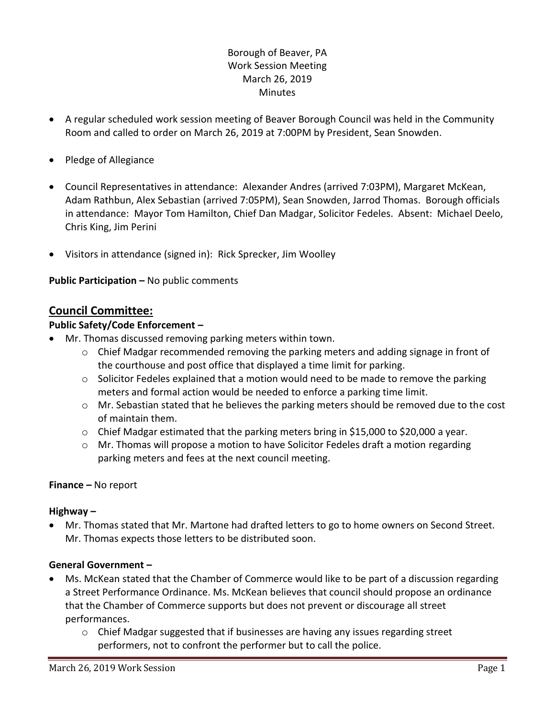## Borough of Beaver, PA Work Session Meeting March 26, 2019 **Minutes**

- A regular scheduled work session meeting of Beaver Borough Council was held in the Community Room and called to order on March 26, 2019 at 7:00PM by President, Sean Snowden.
- Pledge of Allegiance
- Council Representatives in attendance: Alexander Andres (arrived 7:03PM), Margaret McKean, Adam Rathbun, Alex Sebastian (arrived 7:05PM), Sean Snowden, Jarrod Thomas. Borough officials in attendance: Mayor Tom Hamilton, Chief Dan Madgar, Solicitor Fedeles. Absent: Michael Deelo, Chris King, Jim Perini
- Visitors in attendance (signed in): Rick Sprecker, Jim Woolley

### **Public Participation –** No public comments

### **Council Committee:**

#### **Public Safety/Code Enforcement –**

- Mr. Thomas discussed removing parking meters within town.
	- $\circ$  Chief Madgar recommended removing the parking meters and adding signage in front of the courthouse and post office that displayed a time limit for parking.
	- o Solicitor Fedeles explained that a motion would need to be made to remove the parking meters and formal action would be needed to enforce a parking time limit.
	- $\circ$  Mr. Sebastian stated that he believes the parking meters should be removed due to the cost of maintain them.
	- $\circ$  Chief Madgar estimated that the parking meters bring in \$15,000 to \$20,000 a year.
	- $\circ$  Mr. Thomas will propose a motion to have Solicitor Fedeles draft a motion regarding parking meters and fees at the next council meeting.

#### **Finance –** No report

#### **Highway –**

 Mr. Thomas stated that Mr. Martone had drafted letters to go to home owners on Second Street. Mr. Thomas expects those letters to be distributed soon.

#### **General Government –**

- Ms. McKean stated that the Chamber of Commerce would like to be part of a discussion regarding a Street Performance Ordinance. Ms. McKean believes that council should propose an ordinance that the Chamber of Commerce supports but does not prevent or discourage all street performances.
	- o Chief Madgar suggested that if businesses are having any issues regarding street performers, not to confront the performer but to call the police.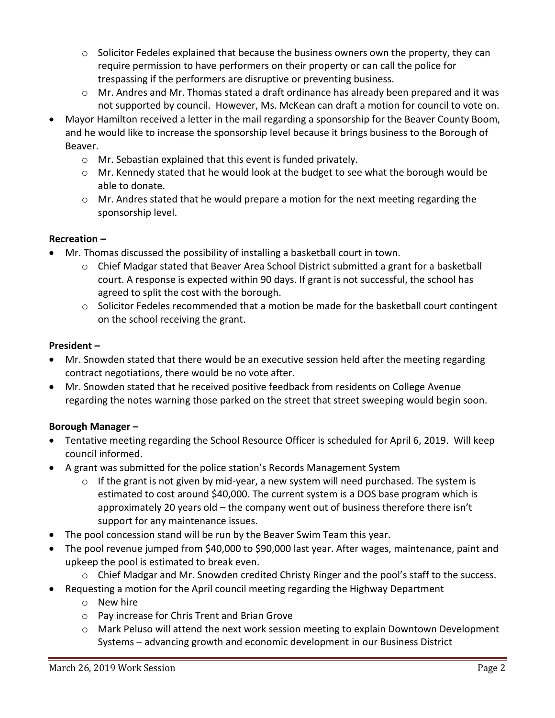- $\circ$  Solicitor Fedeles explained that because the business owners own the property, they can require permission to have performers on their property or can call the police for trespassing if the performers are disruptive or preventing business.
- $\circ$  Mr. Andres and Mr. Thomas stated a draft ordinance has already been prepared and it was not supported by council. However, Ms. McKean can draft a motion for council to vote on.
- Mayor Hamilton received a letter in the mail regarding a sponsorship for the Beaver County Boom, and he would like to increase the sponsorship level because it brings business to the Borough of Beaver.
	- o Mr. Sebastian explained that this event is funded privately.
	- $\circ$  Mr. Kennedy stated that he would look at the budget to see what the borough would be able to donate.
	- o Mr. Andres stated that he would prepare a motion for the next meeting regarding the sponsorship level.

## **Recreation –**

- Mr. Thomas discussed the possibility of installing a basketball court in town.
	- $\circ$  Chief Madgar stated that Beaver Area School District submitted a grant for a basketball court. A response is expected within 90 days. If grant is not successful, the school has agreed to split the cost with the borough.
	- $\circ$  Solicitor Fedeles recommended that a motion be made for the basketball court contingent on the school receiving the grant.

## **President –**

- Mr. Snowden stated that there would be an executive session held after the meeting regarding contract negotiations, there would be no vote after.
- Mr. Snowden stated that he received positive feedback from residents on College Avenue regarding the notes warning those parked on the street that street sweeping would begin soon.

# **Borough Manager –**

- Tentative meeting regarding the School Resource Officer is scheduled for April 6, 2019. Will keep council informed.
- A grant was submitted for the police station's Records Management System
	- $\circ$  If the grant is not given by mid-year, a new system will need purchased. The system is estimated to cost around \$40,000. The current system is a DOS base program which is approximately 20 years old – the company went out of business therefore there isn't support for any maintenance issues.
- The pool concession stand will be run by the Beaver Swim Team this year.
- The pool revenue jumped from \$40,000 to \$90,000 last year. After wages, maintenance, paint and upkeep the pool is estimated to break even.
	- o Chief Madgar and Mr. Snowden credited Christy Ringer and the pool's staff to the success.
- Requesting a motion for the April council meeting regarding the Highway Department
	- o New hire
	- o Pay increase for Chris Trent and Brian Grove
	- o Mark Peluso will attend the next work session meeting to explain Downtown Development Systems – advancing growth and economic development in our Business District